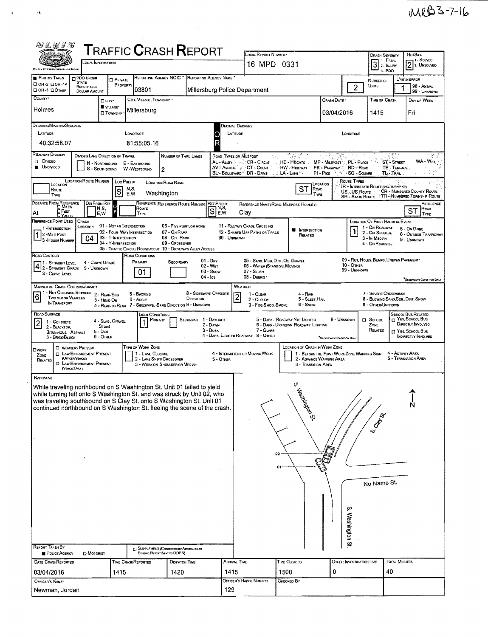| 的义运》S                                                                                                                                                                                                                                                                                                                                                                                                                                                                                                                                                                                                                                                                                                                                                               |                                                                                                                                                                |                                                                                  |                                                                                                      |             |                                       | <b>TRAFFIC CRASH REPORT</b>                                                 |  |                                       | LOCAL REPORT NUMBER *                                                                                                                                                                                                                                                                                                       |                                          |                |                                  | Crash Severity                                                                                          |                            | HIT/SKIP                                                        |  |  |  |  |
|---------------------------------------------------------------------------------------------------------------------------------------------------------------------------------------------------------------------------------------------------------------------------------------------------------------------------------------------------------------------------------------------------------------------------------------------------------------------------------------------------------------------------------------------------------------------------------------------------------------------------------------------------------------------------------------------------------------------------------------------------------------------|----------------------------------------------------------------------------------------------------------------------------------------------------------------|----------------------------------------------------------------------------------|------------------------------------------------------------------------------------------------------|-------------|---------------------------------------|-----------------------------------------------------------------------------|--|---------------------------------------|-----------------------------------------------------------------------------------------------------------------------------------------------------------------------------------------------------------------------------------------------------------------------------------------------------------------------------|------------------------------------------|----------------|----------------------------------|---------------------------------------------------------------------------------------------------------|----------------------------|-----------------------------------------------------------------|--|--|--|--|
| <b>LOCAL INFORMATION</b><br><b>Ship Lew Prigrounded Coloratoline Grains</b>                                                                                                                                                                                                                                                                                                                                                                                                                                                                                                                                                                                                                                                                                         |                                                                                                                                                                |                                                                                  |                                                                                                      |             |                                       |                                                                             |  |                                       | 16 MPD 0331                                                                                                                                                                                                                                                                                                                 |                                          |                |                                  | $31$ Fatal<br>3-PDO                                                                                     |                            | <sup>1</sup> SOLVEO<br>2 2. UNSOLVED                            |  |  |  |  |
| <b>PE PHOTOS TAKEN</b>                                                                                                                                                                                                                                                                                                                                                                                                                                                                                                                                                                                                                                                                                                                                              | REPORTING AGENCY NCIC <sup>*</sup><br><b>REPORTING AGENCY NAME</b><br>PDO UNDER<br><b>D</b> PRIVATE<br><b>STATE</b><br>□ ОН -2 □ ОН - IP<br>PROPERTY           |                                                                                  |                                                                                                      |             |                                       |                                                                             |  |                                       |                                                                                                                                                                                                                                                                                                                             | NUMBER OF                                |                | UNIT IN ERROR                    |                                                                                                         |                            |                                                                 |  |  |  |  |
| D OH -3 DOTHER<br>COUNTY <sup>.</sup>                                                                                                                                                                                                                                                                                                                                                                                                                                                                                                                                                                                                                                                                                                                               |                                                                                                                                                                | <b>REPORTABLE</b><br>DOLLAR AMOUNT                                               |                                                                                                      |             | 03801                                 |                                                                             |  |                                       | Millersburg Police Department                                                                                                                                                                                                                                                                                               |                                          | $\overline{2}$ | Units                            |                                                                                                         | 98 - ANMAL<br>99 - Unknown |                                                                 |  |  |  |  |
| CITY, VILLAGE, TOWNSHIP .<br>口 CITY <sup>。</sup><br>VILLAGE*<br>Holmes                                                                                                                                                                                                                                                                                                                                                                                                                                                                                                                                                                                                                                                                                              |                                                                                                                                                                |                                                                                  |                                                                                                      |             |                                       |                                                                             |  |                                       |                                                                                                                                                                                                                                                                                                                             |                                          | Crash Date *   |                                  | TIME OF CRASH                                                                                           |                            | DAY OF WEEK                                                     |  |  |  |  |
| Millersburg<br><b>CI</b> TOWNSHIP                                                                                                                                                                                                                                                                                                                                                                                                                                                                                                                                                                                                                                                                                                                                   |                                                                                                                                                                |                                                                                  |                                                                                                      |             |                                       |                                                                             |  |                                       |                                                                                                                                                                                                                                                                                                                             |                                          | 03/04/2016     |                                  | 1415                                                                                                    |                            | Fri                                                             |  |  |  |  |
| DEGREES/MINUTES/SECONDS<br>LATITUDE                                                                                                                                                                                                                                                                                                                                                                                                                                                                                                                                                                                                                                                                                                                                 |                                                                                                                                                                |                                                                                  |                                                                                                      | Langmupe    |                                       |                                                                             |  |                                       | Jecimal Degrees<br>LATITUDE<br>Longmupe                                                                                                                                                                                                                                                                                     |                                          |                |                                  |                                                                                                         |                            |                                                                 |  |  |  |  |
| 40:32:58.07                                                                                                                                                                                                                                                                                                                                                                                                                                                                                                                                                                                                                                                                                                                                                         |                                                                                                                                                                |                                                                                  |                                                                                                      |             | 81:55:05.16                           |                                                                             |  |                                       |                                                                                                                                                                                                                                                                                                                             |                                          |                |                                  |                                                                                                         |                            |                                                                 |  |  |  |  |
| ROADWAY DIVISION<br>$\overline{\mathcal{R}^{\mathcal{P}}_{\mathcal{A}}\mathcal{L}^{\mathcal{P}}_{\mathcal{A}}}\mathcal{L}^{\mathcal{P}}_{\mathcal{A}}\mathcal{L}^{\mathcal{P}}_{\mathcal{A}}$<br><b>DIVIDED LANE DIRECTION OF TRAVEL</b><br>NUMBER OF THRU LANES<br>$\mathcal{C}^{\mathcal{C}}$<br>ROAD TYPES OR MILEPOST<br><b>DIVIDED</b><br>AL - ALLEY<br>CR - CIRCLE<br>HE-HEIGHTS<br>MP - MILEPOST<br>PL - PLACE<br><b>ST-STREET</b><br>N - NORTHBOUND<br>E - EASTBOUND<br><b>UNDIVIDED</b><br>AV - AVENUE<br>CT - Court<br>· HW - Highway<br>PK - PARKWAY<br>RD - ROAD<br>TE'- TERRACE<br>S - SOUTHBOUND<br>W-WESTBOUND<br>$\overline{c}$<br>BL - BOULEVARD " DR - DRIVE<br>. LA LANE <sup>N</sup><br>$PI - P_{IRE}$<br>$x - x_n$<br>SQ - SQUARE<br>TL - Tral |                                                                                                                                                                |                                                                                  |                                                                                                      |             |                                       |                                                                             |  |                                       |                                                                                                                                                                                                                                                                                                                             |                                          |                | m guy<br>WA - WAY                |                                                                                                         |                            |                                                                 |  |  |  |  |
|                                                                                                                                                                                                                                                                                                                                                                                                                                                                                                                                                                                                                                                                                                                                                                     | <b>LOCATION ROUTE NUMBER</b><br>ROUTE TYPES<br>LOC PREFIX<br><b>LOCATION RDAD NAME</b><br>LOCATION<br>LOCATION<br><b>IR - INTERSTATE ROUTE (INC. TURNPIKE)</b> |                                                                                  |                                                                                                      |             |                                       |                                                                             |  |                                       |                                                                                                                                                                                                                                                                                                                             |                                          |                |                                  |                                                                                                         |                            |                                                                 |  |  |  |  |
| ROUTE<br>TYPE                                                                                                                                                                                                                                                                                                                                                                                                                                                                                                                                                                                                                                                                                                                                                       |                                                                                                                                                                |                                                                                  | s                                                                                                    | N,S,<br>E,W |                                       | Washington                                                                  |  |                                       |                                                                                                                                                                                                                                                                                                                             | ST<br>ROAD<br>TYPE                       |                | US  US Route<br>SR - State Route |                                                                                                         |                            | CR - NUMBERED COUNTY ROUTE<br><b>TR-NUMBERED TOWNSHIP ROUTE</b> |  |  |  |  |
| <b>DISTANCE FROM REFERENCE</b><br>At                                                                                                                                                                                                                                                                                                                                                                                                                                                                                                                                                                                                                                                                                                                                | <b>D</b> Miles<br>□ Геєт<br><b>DYARDS</b>                                                                                                                      |                                                                                  | Dir From Ref<br>Ō<br>N,S,<br>E,W                                                                     |             | Route<br>TYPE                         | REFERENCE REFERENCE ROUTE NUMBER                                            |  | <b>REF PREFIX</b><br>N,S,<br>S<br>E,W | Clay                                                                                                                                                                                                                                                                                                                        | REFERENCE NAME (ROAD, MILEPOST, HOUSE 4) |                |                                  |                                                                                                         |                            | Reference<br>ROAD<br>ST<br>TYPE                                 |  |  |  |  |
| REFERENCE POINT USED<br>1 INTERSECTION<br>$\vert$ 1<br>2 -MILE POST<br>3 - HOUSE NUMBER                                                                                                                                                                                                                                                                                                                                                                                                                                                                                                                                                                                                                                                                             |                                                                                                                                                                | CRASH<br>LOCATION<br>04                                                          | 01 - NOT AN INTERSECTION<br>02 - FOUR WAY INTERSECTION<br>03 - T-INTERSECTION<br>04 - Y-INTERSECTION |             |                                       | 06 - FIVE PDINT, OR MORE<br>07 - On RAMP<br>08 - OFF RAMP<br>09 - Crossover |  | 99 - UNKNOWN                          | 11 - RAILWAY GRADE CROSSING<br>12 - SHARED-USE PATHS OR TRAILS                                                                                                                                                                                                                                                              | <b>W</b> INTERSECTION<br>RELATED         |                |                                  | LOCATION OF FIRST HARMFUL EVENT<br>1 - On ROADWAY<br>2 - ON SHOULDE<br>3 - In Median<br>4 - On Roadside |                            | 5 - On Gone<br>6 - OUTSIDE TRAFFICWAY<br>9 - UNKNOWN            |  |  |  |  |
| ROAD CONTOUR                                                                                                                                                                                                                                                                                                                                                                                                                                                                                                                                                                                                                                                                                                                                                        |                                                                                                                                                                |                                                                                  |                                                                                                      |             | ROAD CONDITIONS                       | 05 - TRAFFIC CIRCLE/ROUNDABOUT 10 - DRIVEWAY/ ALLEY ACCESS                  |  |                                       |                                                                                                                                                                                                                                                                                                                             |                                          |                |                                  |                                                                                                         |                            |                                                                 |  |  |  |  |
| 09 - Rut, HOLES, BUMPS, UNEVEN PAVEMENT*<br>$01 - Drv$<br>05 - SAND, MUO, DIRT, OIL, GRAVEL<br>PRIMARY<br>4 - Curve Grape<br>Secondary<br>1 - Straight Level<br>$\left  4 \right $ - Straight Level<br>$10 -$ OTHER<br>$02 - Wer$<br>06 - WATER (STANDING, MOVING)<br>9 - UNKNOWN<br>99 - Unknown<br>$03 -$ SNOW<br>$07 - S$ Lush<br>01.<br>3 - CURVE LEVEL<br>$04 - 1c$<br>08 - Deanis                                                                                                                                                                                                                                                                                                                                                                             |                                                                                                                                                                |                                                                                  |                                                                                                      |             |                                       |                                                                             |  |                                       |                                                                                                                                                                                                                                                                                                                             |                                          |                | "SECONDARY CONDITION ONLY        |                                                                                                         |                            |                                                                 |  |  |  |  |
| MANNER OF CRASH COLLISION/IMPACT<br>WEATHER<br>1 - Not Collision Between 2 - Rear-End<br>8 - SIDESWIPE, OPPOSITE<br>7 - SEVERE CROSSWINDS<br>5 - BACKING<br>$1 - C$ lear<br>4 - RAIN<br>$\boxed{6}$<br>$\overline{c}$<br>Two MOTOR VEHICLES<br>DIRECTION<br>5 - SLEET, HAIL<br>8 - BLOWING SAND SOIL, DIRT, SNDW<br>6 - Angle<br>2 - CLOUDY<br>3 - HEAD-ON<br>IN TRANSPORT<br>4 - REAR-TO-REAR 7 - SIDESWIPE, SAME DIRECTION 9 - UNKNOWN<br><b>6 - SNOW</b><br>9 - OTHER/UNKNOWN<br>3 - Fog, Sмос, Sмоке                                                                                                                                                                                                                                                            |                                                                                                                                                                |                                                                                  |                                                                                                      |             |                                       |                                                                             |  |                                       |                                                                                                                                                                                                                                                                                                                             |                                          |                |                                  |                                                                                                         |                            |                                                                 |  |  |  |  |
| ROAD SURFACE<br>LIGHT CONDITIONS<br>1 - DAYLIGHT<br>PRIMARY<br><b>SECONDAR</b><br>4 - SLAG, GRAVEL,<br>$\overline{c}$<br>1 - CONCRETE<br>1<br>2 - Dawn<br><b>STONE</b><br>2 - BLACKTOP.<br>$3 -$ Dusk<br>$5 - D$ at<br>BITUMINOUS, ASPHALT<br>6 - Отнев<br>3 - BRICK/BLOCK                                                                                                                                                                                                                                                                                                                                                                                                                                                                                          |                                                                                                                                                                |                                                                                  |                                                                                                      |             |                                       |                                                                             |  |                                       | <b>SCHOOL BUS RELATED</b><br>T YES, SCHOOL BUS<br>5 - DARK - ROADWAY NOT LIGHTED<br>9 - UNKNOWN<br>$\Box$ School<br>DIRECTLY INVOLVED<br>6 - DARK UNKNOWN ROADWAY LIGHTING<br>ZONE<br>7 - GLARE*<br>RELATED<br>T YES, SCHOOL BUS<br>4 - DARK - LIGHTED ROADWAY 8 - OTHER<br>INDIRECTLY INVOLVED<br>"SECONDARY CONDITION ONL |                                          |                |                                  |                                                                                                         |                            |                                                                 |  |  |  |  |
| <b>DWORK</b><br>ZONE<br>RELATED                                                                                                                                                                                                                                                                                                                                                                                                                                                                                                                                                                                                                                                                                                                                     |                                                                                                                                                                | <b>D</b> WORKERS PRESENT<br><b>D</b> LAW ENFORCEMENT PRESENT<br>(Officer/Verdue) |                                                                                                      |             | TYPE OF WORK ZONE<br>1 - LANE CLOSURE | 2 - LANE SHIFT/ CROSSOVER                                                   |  | 5 - Other                             | LOCATION OF CRASH IN WORK ZONE<br>1 - BEFORE THE FIRST WORK ZONE WARNING SIGN<br>4 - ACTIVITY AREA<br>4 - INTERMITTENT OR MOVING WORK<br>5 - TERMINATION AREA<br>2 - ADVANCE WARNING AREA<br>3 - TRANSITION AREA                                                                                                            |                                          |                |                                  |                                                                                                         |                            |                                                                 |  |  |  |  |
| <b>D</b> LAW ENFORCEMENT PRESENT<br>3 - WORK ON SHOULDER OR MEDIAN<br>(VEHOLEOHLY)<br><b>NARRATIVE</b><br>Φ<br>While traveling northbound on S Washington St. Unit 01 failed to yield<br><b>A</b> 85<br>while turning left onto S Washington St. and was struck by Unit 02, who<br>was traveling southbound on S Clay St. onto S Washington St. Unit 01<br>continued northbound on S Washington St. fleeing the scene of the crash.<br><b>Wing</b> on St.<br>Ņ<br>S. Cray St.<br>02<br>01<br>No Name St.<br>თ<br>Washington St<br><b>REPORT TAKEN BY</b><br>[] SUPPLEMENT (CORRECTION OR ADDITION TO AH<br>Existing Report Sent to ODPS)<br>POLICE AGENCY<br>$\square$ Motorist                                                                                     |                                                                                                                                                                |                                                                                  |                                                                                                      |             |                                       |                                                                             |  |                                       |                                                                                                                                                                                                                                                                                                                             |                                          |                |                                  |                                                                                                         |                            |                                                                 |  |  |  |  |
| DATE CRASHREPORTED<br>03/04/2016                                                                                                                                                                                                                                                                                                                                                                                                                                                                                                                                                                                                                                                                                                                                    |                                                                                                                                                                |                                                                                  | 1415                                                                                                 |             | TIME CRASHREPORTED                    | <b>DISPATCH TIME</b><br>1420                                                |  | 1415                                  | <b>ARRIVAL TIME</b>                                                                                                                                                                                                                                                                                                         | TIME CLEARED<br>1500                     | 0              | OTHER INVESTIGATION TIME         | 40                                                                                                      | TOTAL MINUTES              |                                                                 |  |  |  |  |
| OFFICER'S NAME*                                                                                                                                                                                                                                                                                                                                                                                                                                                                                                                                                                                                                                                                                                                                                     |                                                                                                                                                                |                                                                                  |                                                                                                      |             |                                       |                                                                             |  |                                       | OFFICER'S BADGE NUMBER                                                                                                                                                                                                                                                                                                      | Снескер Ву                               |                |                                  |                                                                                                         |                            |                                                                 |  |  |  |  |
| Newman, Jordan                                                                                                                                                                                                                                                                                                                                                                                                                                                                                                                                                                                                                                                                                                                                                      |                                                                                                                                                                |                                                                                  |                                                                                                      |             |                                       |                                                                             |  | 129                                   |                                                                                                                                                                                                                                                                                                                             |                                          |                |                                  |                                                                                                         |                            |                                                                 |  |  |  |  |

 $\mathcal{A}$ 

 $\hat{\mathbf{r}}$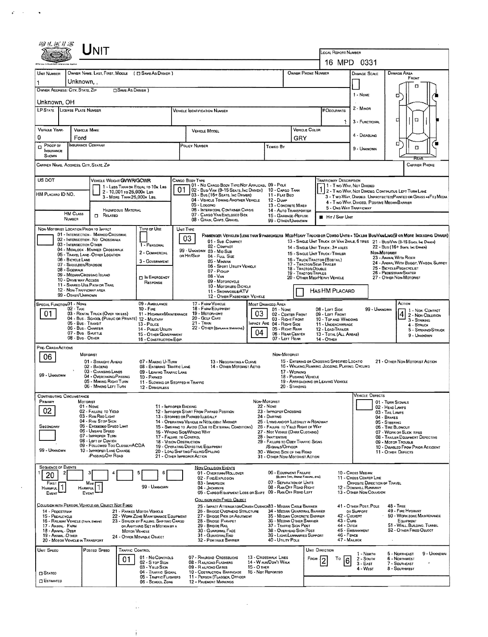|                                                                                                                                                                                                                                                                                                                                                                                       |                                    | UNIT                                                                         |                            |                                                                 |                                                                                                                                                                                 |                                                                                                                                    |                                              |                                                           |                                                                                                                                |                                         |                                                                                                                                                   |                                                             |                                                     |                                                                                                                             |  |  |  |  |
|---------------------------------------------------------------------------------------------------------------------------------------------------------------------------------------------------------------------------------------------------------------------------------------------------------------------------------------------------------------------------------------|------------------------------------|------------------------------------------------------------------------------|----------------------------|-----------------------------------------------------------------|---------------------------------------------------------------------------------------------------------------------------------------------------------------------------------|------------------------------------------------------------------------------------------------------------------------------------|----------------------------------------------|-----------------------------------------------------------|--------------------------------------------------------------------------------------------------------------------------------|-----------------------------------------|---------------------------------------------------------------------------------------------------------------------------------------------------|-------------------------------------------------------------|-----------------------------------------------------|-----------------------------------------------------------------------------------------------------------------------------|--|--|--|--|
|                                                                                                                                                                                                                                                                                                                                                                                       |                                    |                                                                              |                            |                                                                 |                                                                                                                                                                                 |                                                                                                                                    |                                              | LOCAL REPORT NUMBER                                       |                                                                                                                                |                                         |                                                                                                                                                   |                                                             |                                                     |                                                                                                                             |  |  |  |  |
|                                                                                                                                                                                                                                                                                                                                                                                       |                                    |                                                                              |                            |                                                                 |                                                                                                                                                                                 |                                                                                                                                    |                                              |                                                           | 16 MPD 0331                                                                                                                    |                                         |                                                                                                                                                   |                                                             |                                                     |                                                                                                                             |  |  |  |  |
| UNIT NUMBER                                                                                                                                                                                                                                                                                                                                                                           | Unknown, ,                         | OWNER NAME: LAST, FIRST, MIDOLE ( $\Box$ SAME AS DRIVER )                    |                            |                                                                 |                                                                                                                                                                                 |                                                                                                                                    |                                              |                                                           |                                                                                                                                | OWNER PHONE NUMBER                      |                                                                                                                                                   | DAMAGE SCALE                                                |                                                     | <b>DAMAGE AREA</b><br>FRONT                                                                                                 |  |  |  |  |
| 1<br>OWNER ADDRESS: CITY, STATE, ZIP                                                                                                                                                                                                                                                                                                                                                  |                                    |                                                                              | □ SAME AS DRIVER }         |                                                                 |                                                                                                                                                                                 |                                                                                                                                    |                                              |                                                           |                                                                                                                                |                                         |                                                                                                                                                   |                                                             |                                                     |                                                                                                                             |  |  |  |  |
| Unknown OH                                                                                                                                                                                                                                                                                                                                                                            |                                    |                                                                              |                            |                                                                 |                                                                                                                                                                                 |                                                                                                                                    |                                              |                                                           |                                                                                                                                |                                         |                                                                                                                                                   | 1 - NONE                                                    |                                                     | o                                                                                                                           |  |  |  |  |
| <b>LP STATE</b> LICENSE PLATE NUMBER                                                                                                                                                                                                                                                                                                                                                  |                                    |                                                                              |                            |                                                                 |                                                                                                                                                                                 | Vehicle Identification Number                                                                                                      |                                              |                                                           |                                                                                                                                |                                         |                                                                                                                                                   | 2 - Minon                                                   |                                                     |                                                                                                                             |  |  |  |  |
|                                                                                                                                                                                                                                                                                                                                                                                       |                                    |                                                                              |                            |                                                                 |                                                                                                                                                                                 |                                                                                                                                    |                                              |                                                           |                                                                                                                                |                                         |                                                                                                                                                   | 1.<br>3 - FUNCTIONAL                                        |                                                     | ₫<br>Ω                                                                                                                      |  |  |  |  |
| VEHICLE YEAR-                                                                                                                                                                                                                                                                                                                                                                         |                                    | <b>VEHICLE MAKE</b>                                                          |                            |                                                                 |                                                                                                                                                                                 | <b>VEHICLE MODEL</b>                                                                                                               |                                              |                                                           |                                                                                                                                | VEHICLE COLOR                           |                                                                                                                                                   |                                                             |                                                     |                                                                                                                             |  |  |  |  |
| 0                                                                                                                                                                                                                                                                                                                                                                                     | Ford                               | INSURANCE COMPANY                                                            |                            |                                                                 |                                                                                                                                                                                 |                                                                                                                                    |                                              |                                                           | GRY                                                                                                                            |                                         |                                                                                                                                                   | 4 - Disabung                                                |                                                     | 口                                                                                                                           |  |  |  |  |
| Proor or<br>0<br>INSURANCE<br>SHOWN                                                                                                                                                                                                                                                                                                                                                   |                                    |                                                                              |                            |                                                                 | POLICY NUMBER<br>TOWED BY                                                                                                                                                       |                                                                                                                                    |                                              |                                                           |                                                                                                                                |                                         |                                                                                                                                                   | 9 - Unknown                                                 |                                                     | Ω<br>रिहरा                                                                                                                  |  |  |  |  |
| CARRIER NAME, AODRESS, CITY, STATE, ZIP                                                                                                                                                                                                                                                                                                                                               |                                    |                                                                              |                            |                                                                 |                                                                                                                                                                                 |                                                                                                                                    |                                              |                                                           |                                                                                                                                |                                         |                                                                                                                                                   |                                                             |                                                     | <b>CARRIER PHONE</b>                                                                                                        |  |  |  |  |
| US DOT                                                                                                                                                                                                                                                                                                                                                                                |                                    | VEHICLE WEIGHT GWWR/GCWR                                                     |                            |                                                                 |                                                                                                                                                                                 | CARGO BODY TYPE<br>01 - No CARGO BODY TYPE/NOT APPLICABL 09 - POLE                                                                 |                                              |                                                           |                                                                                                                                |                                         | <b>TRAFFICWAY DESCRIPTION</b>                                                                                                                     | 11 - Two-Way, Not Divided                                   |                                                     |                                                                                                                             |  |  |  |  |
| HM Placaro ID NO.                                                                                                                                                                                                                                                                                                                                                                     |                                    |                                                                              | 2 - 10,001 to 26,000k Les  | 1 - LESS THAN OR EQUAL TO 10K LBS                               | 01                                                                                                                                                                              | 02 - Busi Van (9-15 Seats, Inc Driver)<br>03 - Bus (16+ SEATS, INC DRIVER)                                                         |                                              | 10 - Cargo Tank<br>11 - FLAT BEO                          |                                                                                                                                |                                         |                                                                                                                                                   | 1 2 - Two Way, Not Divideo, Continuous Left Turn Lane       |                                                     | 3 - Two-WAY, DIVIDEO, UNPROTECTEO(PAINTEO OR GRASS >4FT.) MEDIA                                                             |  |  |  |  |
|                                                                                                                                                                                                                                                                                                                                                                                       |                                    |                                                                              | 3 - MORE THAN 26,000K LBS. |                                                                 |                                                                                                                                                                                 | 04 - VEHICLE TOWING ANOTHER VEHICLE<br>05 - LOGGING                                                                                |                                              | 12 - Dump<br>13 - CONCRETE MIXER                          |                                                                                                                                |                                         |                                                                                                                                                   | 4 - Two-WAY, DIVIDED, POSITIVE MEDIAN BARRIER               |                                                     |                                                                                                                             |  |  |  |  |
|                                                                                                                                                                                                                                                                                                                                                                                       | HM CLASS                           | $\Box$ Related                                                               | HAZARDOUS MATERIAL         |                                                                 |                                                                                                                                                                                 | 06 - INTERMODAL CONTAINER CHASIS<br>07 - CARGO VAN/ENCLOSEO BOX                                                                    |                                              | 14 - AUTO TRANSPORTER<br>15 - GARBAGE /REFUSE             |                                                                                                                                |                                         | <b>HIT / SKIP UNIT</b>                                                                                                                            | 5 - ONE-WAY TRAFFICWAY                                      |                                                     |                                                                                                                             |  |  |  |  |
|                                                                                                                                                                                                                                                                                                                                                                                       | NUMBER                             |                                                                              |                            |                                                                 |                                                                                                                                                                                 | 08 - GRAIN, CHIPS, GRAVEL                                                                                                          |                                              | 99 - OTHER/UNKNOWN                                        |                                                                                                                                |                                         |                                                                                                                                                   |                                                             |                                                     |                                                                                                                             |  |  |  |  |
|                                                                                                                                                                                                                                                                                                                                                                                       |                                    | NON-MOTORIST LOCATION PRIOR TO IMPACT<br>01 - INTERSECTION - MARKED CROSSWAL |                            | Type of Use                                                     | UNIT TYPE                                                                                                                                                                       |                                                                                                                                    |                                              |                                                           |                                                                                                                                |                                         |                                                                                                                                                   |                                                             |                                                     | PASSENGER VEHICLES (LESS THAN 9 PASSENGERS MED/HEAVY TRUCKS OR COMBO UNITS > 10KLBS BUG/VANLIMO(9 OR MORE INCLUDING DRIVER) |  |  |  |  |
|                                                                                                                                                                                                                                                                                                                                                                                       |                                    | 02 - INTERSECTION - NO CROSSWALK<br>03 - INTERSECTION OTHER                  |                            | 1 - PERSONAL                                                    | 03                                                                                                                                                                              | 01 - Sub-COMPACT<br>02 - COMPACT                                                                                                   |                                              |                                                           |                                                                                                                                |                                         |                                                                                                                                                   |                                                             |                                                     | 13 - SINGLE UNIT TRUCK OR VAN ZAXLE, 6 TRES 21 - BUS/VAN (9-15 SEATS, INC. DRIVER)                                          |  |  |  |  |
|                                                                                                                                                                                                                                                                                                                                                                                       |                                    | 04 - MIDBLOCK - MARKED CROSSWALK<br>05 - TRAVEL LANE - OTHER LOCATION        |                            | 2 - COMMERCIAL                                                  |                                                                                                                                                                                 | 99 - UNKNOWN 03 - MID SIZE<br>or Hm/Skip<br>04 - FULL SIZE                                                                         |                                              |                                                           |                                                                                                                                |                                         | 22 - Bus (16+ Sears, Inc Danga)<br>14 - SINGLE UNIT TRUCK; 3+ AXLES<br>NON-MOTORIST<br>15 - SINGLE UNIT TRUCK / TRAILER<br>23 - ANIMAL WITH RIDER |                                                             |                                                     |                                                                                                                             |  |  |  |  |
|                                                                                                                                                                                                                                                                                                                                                                                       | 06 - BICYCLE LANE<br>08 - SIGEWALK | 07 - SHOULDER/ROADSIDE                                                       |                            | 3 - GOVERNMENT                                                  |                                                                                                                                                                                 | 05 - Minivan<br>06 - SPORT UTILITY VEHICLE                                                                                         |                                              | 18 - TRACTOR/DOUBLE                                       | 16 - TRUCK/TRACTOR (BOSTAIL)<br>24 - ANIMAL WITH BUGGY, WAGON, SURREY<br>17 - TRACTOR/SEMI-TRAILER<br>25 - BICYCLE/PEDACYCLIST |                                         |                                                                                                                                                   |                                                             |                                                     |                                                                                                                             |  |  |  |  |
|                                                                                                                                                                                                                                                                                                                                                                                       | 10 - DRIVE WAY ACCESS              | 09 - MEDIAN/CROSSING ISLAND                                                  |                            | <b>D</b> IN EMERGENCY                                           | 07 - Pickup<br>19 - TRACTOR/TRIPLES<br>$08 - V_{AN}$                                                                                                                            |                                                                                                                                    |                                              |                                                           |                                                                                                                                |                                         | 26 - PEDESTRIAN/SKATER<br>20 - OTHER MEDIHEAVY VEHICLE<br>27 - OTHER NON-MOTORIST                                                                 |                                                             |                                                     |                                                                                                                             |  |  |  |  |
|                                                                                                                                                                                                                                                                                                                                                                                       |                                    | 11 - SHAREO-USE PATH OR TRAIL                                                |                            | RESPONSE                                                        |                                                                                                                                                                                 | 09 - MOTORCYCLE<br>10 - Motorizeo Bicycle                                                                                          |                                              |                                                           |                                                                                                                                |                                         |                                                                                                                                                   |                                                             |                                                     |                                                                                                                             |  |  |  |  |
| 12 - Non-Trafficway area<br>HAS HM PLACARD<br>11 - SNOWMOBILE/ATV<br>99 - OTHER/UNKNOWN<br>12 - OTHER PASSENGER VEHICLE                                                                                                                                                                                                                                                               |                                    |                                                                              |                            |                                                                 |                                                                                                                                                                                 |                                                                                                                                    |                                              |                                                           |                                                                                                                                |                                         |                                                                                                                                                   |                                                             |                                                     |                                                                                                                             |  |  |  |  |
| <b>SPECIAL FUNCTIONO1 - NONE</b><br>09 - AMBULANCE<br>02 TAXI<br>$10 -$ Fire<br>01<br>03 - RENTAL TRUCK (OVER 10KLBS)<br>11 - HIGHWAY/MAINTENANCE<br>04 - Bus - School (Public or Private) 12 - MILITARY<br>05 - Bus - Transit<br>13 - Pouce<br>06 - Bus - Charter<br>14 - Pusuc UTILITY<br>07 - Bus - SHUTTLE<br>15 - OTHER GOVERNMENT<br>08 - Bus - OTHER<br>16 - CONSTRUCTION EQIP |                                    |                                                                              |                            |                                                                 |                                                                                                                                                                                 | 17 - FARM VEHICLE<br>18 - FARM EQUIPMENT                                                                                           | 03                                           | MOST DAMAGED AREA<br>01 - NONE                            |                                                                                                                                |                                         | 08 - LEFT SIDE                                                                                                                                    | 99 - UNKNOWN                                                |                                                     | ACTION<br>1 - Non-Contact                                                                                                   |  |  |  |  |
|                                                                                                                                                                                                                                                                                                                                                                                       |                                    |                                                                              |                            |                                                                 |                                                                                                                                                                                 | 19 - Мотовноме<br>20 - GOLF CART                                                                                                   | 02 - CENTER FRONT<br>03 - RIGHT FRONT        |                                                           |                                                                                                                                | 09 - LEFT FRONT<br>10 - TOP AND WINDOWS |                                                                                                                                                   |                                                             | $\overline{4}$<br>2 - Non-Collision<br>3 - STRIKING |                                                                                                                             |  |  |  |  |
|                                                                                                                                                                                                                                                                                                                                                                                       |                                    |                                                                              |                            |                                                                 |                                                                                                                                                                                 | $21 -$ Trang<br>22 - OTHER (EXPLANNIN NARRATIVE)                                                                                   | MPACT ARE 04 - RIGHT SIDE<br>05 - Right Rear |                                                           |                                                                                                                                | 11 - UNDERCARRIAGE<br>12 - LOAD/TRAILER |                                                                                                                                                   | 4 - STRUCK<br>5 - STRIKING/STRUCK                           |                                                     |                                                                                                                             |  |  |  |  |
|                                                                                                                                                                                                                                                                                                                                                                                       |                                    |                                                                              |                            |                                                                 |                                                                                                                                                                                 |                                                                                                                                    | 04                                           | 06 - REAR CENTER<br>07 - LEFT REAR                        |                                                                                                                                |                                         | 13 - TOTAL (ALL AREAS)<br>14 - Отнен                                                                                                              |                                                             |                                                     | 9 - UNKNOWN                                                                                                                 |  |  |  |  |
| PRE- CRASH ACTIONS                                                                                                                                                                                                                                                                                                                                                                    |                                    |                                                                              |                            |                                                                 |                                                                                                                                                                                 |                                                                                                                                    |                                              |                                                           |                                                                                                                                |                                         |                                                                                                                                                   |                                                             |                                                     |                                                                                                                             |  |  |  |  |
| 06                                                                                                                                                                                                                                                                                                                                                                                    |                                    | <b>MOTORIST</b><br>01 - STRAIGHT AHEAD                                       |                            | 07 - MAKING U-TURN                                              | NON-MOTORIST<br>15 - ENTERING OR CROSSING SPECIFIED LOCATIO<br>13 - Negotiating a Curve                                                                                         |                                                                                                                                    |                                              |                                                           |                                                                                                                                |                                         |                                                                                                                                                   |                                                             | 21 - OTHER NON-MOTORIST ACTION                      |                                                                                                                             |  |  |  |  |
|                                                                                                                                                                                                                                                                                                                                                                                       |                                    | 02 - BACKING<br>03 - CHANGING LANES                                          |                            | 08 - ENTERING TRAFFIC LANE<br>09 - LEAVING TRAFFIC LANE         |                                                                                                                                                                                 | 14 - OTHER MOTORIST ACTIO                                                                                                          |                                              |                                                           | 17 - WORKING                                                                                                                   |                                         |                                                                                                                                                   | 16 - WALKING, RUNNING, JOGGING, PLAYING, CYCLING            |                                                     |                                                                                                                             |  |  |  |  |
| 99 - Unknown                                                                                                                                                                                                                                                                                                                                                                          |                                    | 04 - OVERTAKING/PASSING<br>05 - MAKING RIGHT TURN                            |                            | 10 - PARKED<br>11 - SLOWING OR STOPPED IN TRAFFIC               |                                                                                                                                                                                 |                                                                                                                                    |                                              |                                                           | 18 - PUSHING VEHICLE                                                                                                           |                                         | 19 - APPROACHING OR LEAVING VEHICLE                                                                                                               |                                                             |                                                     |                                                                                                                             |  |  |  |  |
| <b>CONTRIBUTING CIRCUMSTANCE</b>                                                                                                                                                                                                                                                                                                                                                      |                                    | 06 - MAKING LEFT TURN                                                        |                            | 12 - DRIVERLESS                                                 |                                                                                                                                                                                 |                                                                                                                                    |                                              |                                                           | 20 - STANDING                                                                                                                  |                                         |                                                                                                                                                   | <b>VEHICLE DEFECTS</b>                                      |                                                     |                                                                                                                             |  |  |  |  |
| PRIMARY                                                                                                                                                                                                                                                                                                                                                                               |                                    | MOTORIST<br>01 - None                                                        |                            |                                                                 |                                                                                                                                                                                 |                                                                                                                                    | NON-MOTORIST                                 |                                                           |                                                                                                                                |                                         |                                                                                                                                                   |                                                             | 01 - TURN SIGNALS                                   |                                                                                                                             |  |  |  |  |
| 02                                                                                                                                                                                                                                                                                                                                                                                    |                                    | 02 - FAILURE TO YIELD<br>03 - RAN RED LIGHT                                  |                            |                                                                 | 22 - None<br>11 - IMPROPER BACKING<br>23 - IMPROPER CROSSING<br>12 - IMPROPER START FROM PARKED POSITION<br>13 - STOPPEO OR PARKED LLEGALLY<br>24 - DARTING                     |                                                                                                                                    |                                              |                                                           |                                                                                                                                |                                         |                                                                                                                                                   |                                                             | 02 - HEAD LAMPS<br>03 - TAIL LAMPS                  |                                                                                                                             |  |  |  |  |
| SECONDARY                                                                                                                                                                                                                                                                                                                                                                             |                                    | 04 - RAN STOP SIGN<br>05 - Exceepeo Speed Limit                              |                            |                                                                 | 14 - Operating Vehicle in Negligent MANNER<br>25 - LYING AND/OR ILLEOALLY IN ROADWAY<br>15 - Swering to Avoid (Due to External Conditions)<br>26 - FALURE TO YIELD RIGHT OF WAY |                                                                                                                                    |                                              |                                                           |                                                                                                                                |                                         | 04 - BRAKES<br>05 - STEERING<br>06 - TIRE BLOWOUT                                                                                                 |                                                             |                                                     |                                                                                                                             |  |  |  |  |
|                                                                                                                                                                                                                                                                                                                                                                                       |                                    | 06 - Unsafe Speed<br>07 - IMPROPER TURN                                      |                            |                                                                 | 16 - WRONG SIDE/WRONG WAY<br>27 - NOT VISIBLE (DARK CLOTHING)<br>28 - INATTENTIVE<br>17 - FALURE TO CONTROL                                                                     |                                                                                                                                    |                                              |                                                           |                                                                                                                                |                                         |                                                                                                                                                   | 07 - WORN OR SLICK TIRES<br>08 - TRASER EQUIPMENT DEFECTIVE |                                                     |                                                                                                                             |  |  |  |  |
|                                                                                                                                                                                                                                                                                                                                                                                       |                                    | 08 - LEFT OF CENTER<br>09 - Followed Too Closely/ACDA                        |                            |                                                                 | 29 - FAILURE TO OBEY TRAFFIC SIGNS<br>18 - VISION OBSTRUCTION<br>19 - OPERATING DEFECTIVE EQUIPMENT<br>/SIGNALS/OFFICER                                                         |                                                                                                                                    |                                              |                                                           |                                                                                                                                |                                         |                                                                                                                                                   | 09 - Motos TaquaLe<br>10 - DISABLED FROM PRIOR ACCIDENT     |                                                     |                                                                                                                             |  |  |  |  |
| 99 - UNKNOWN                                                                                                                                                                                                                                                                                                                                                                          |                                    | 10 - IMPROPER LANE CHANGE<br><b>PASSING OFF ROAD</b>                         |                            |                                                                 |                                                                                                                                                                                 | 20 - LOAG SHIFTING/FALLING/SPILLING<br>30 - WRONG SIDE OF THE ROAD<br>21 - OTHER IMPROPER ACTION<br>31 - OTHER NON-MOTORIST ACTION |                                              |                                                           |                                                                                                                                |                                         |                                                                                                                                                   |                                                             |                                                     | 11 - OTHER DEFECTS                                                                                                          |  |  |  |  |
| <b>SEQUENCE OF EVENTS</b>                                                                                                                                                                                                                                                                                                                                                             |                                    |                                                                              |                            |                                                                 |                                                                                                                                                                                 | <b>NON-COLLISION EVENTS</b>                                                                                                        |                                              |                                                           |                                                                                                                                |                                         |                                                                                                                                                   |                                                             |                                                     |                                                                                                                             |  |  |  |  |
| 20                                                                                                                                                                                                                                                                                                                                                                                    |                                    | з                                                                            |                            | 6                                                               |                                                                                                                                                                                 | 01 - OVERTURN/ROLLOVER<br>02 - FIRE/EXPLOSION                                                                                      |                                              | 06 - EQUIPMENT FAILURE                                    |                                                                                                                                | (BLOWN TIRE, BRAKE FARURE, ETC)         |                                                                                                                                                   | 10 - Cross Median<br>11 - CROSS CENTER LINE                 |                                                     |                                                                                                                             |  |  |  |  |
| FIRST<br>HARMFUL.                                                                                                                                                                                                                                                                                                                                                                     |                                    | Ması<br>Harmful                                                              |                            | 99 - UNKNOWN                                                    |                                                                                                                                                                                 | 03 - IMMERSION<br>04 - JACKKNIFE                                                                                                   |                                              | 07 - SEPARATION OF UNITS<br>08 - RAN OFF ROAD RIGHT       |                                                                                                                                |                                         |                                                                                                                                                   | OPPOSITE DIRECTION OF TRAVEL<br>12 - DOWNHILL RUNAWAY       |                                                     |                                                                                                                             |  |  |  |  |
| Event                                                                                                                                                                                                                                                                                                                                                                                 |                                    | EVENT                                                                        |                            |                                                                 |                                                                                                                                                                                 | 05 - CARGO/EQUIPMENT LOSS OR SHIFT 09 - RAN OFF ROAD LEFT<br>COLLISION WITH FIXED, OBJECT                                          |                                              |                                                           |                                                                                                                                |                                         |                                                                                                                                                   | 13 - OTHER NON-COLLISION                                    |                                                     |                                                                                                                             |  |  |  |  |
| 14 - PEOESTRIAN                                                                                                                                                                                                                                                                                                                                                                       |                                    | COLUSION WITH PERSON, VEHICLE OR OBJECT NOT FIXED                            |                            |                                                                 |                                                                                                                                                                                 | 25 - IMPACT ATTENUATOR/CRASH CUSHION33 - MEDIAN CABLE BARRIER<br>26 - BRIDGE OVERHEAD STRUCTURE                                    |                                              | 34 - Median Guardrail Barrier                             |                                                                                                                                |                                         |                                                                                                                                                   | 41 - OTHER POST, POLE<br>OR SUPPORT                         |                                                     | <b>48 - TREE</b><br>49 - FIRE HYDRANT                                                                                       |  |  |  |  |
| 21 - PARKED MOTOR VEHICLE<br>15 - PEDALCYCLE<br>22 - WORK ZONE MAINTENANCE EQUIPMENT<br>16 - RAILWAY VEHICLE (TRA'N, ENGINE)<br>23 - STRUCK BY FALLING, SHIFTING CARGO                                                                                                                                                                                                                |                                    |                                                                              |                            |                                                                 |                                                                                                                                                                                 | 27 - BRIDGE PIER OR ABUTMENT<br>28 - BRIDGE PARAPET                                                                                |                                              | 35 - MEDIAN CONCRETE BARRIER<br>36 - MEOIAN OTHER BARRIER |                                                                                                                                |                                         | 43 - Cuna                                                                                                                                         | 42 - CULVERT                                                |                                                     | 50 - WORK ZONE MAINTENANCE<br>EQUIPMENT                                                                                     |  |  |  |  |
| 17 - ANIMAL - FARM<br>OR ANYTHING SET IN MOTION BY A<br>18 - Animal - Deer<br>MOTOR VEHICLE                                                                                                                                                                                                                                                                                           |                                    |                                                                              |                            |                                                                 |                                                                                                                                                                                 | 29 - BRIDGE RAIL<br>30 - GUARDRAIL FACE                                                                                            |                                              |                                                           | 37 - TRAFFIC SIGN POST<br>44 - Олсн<br>45 - EMBANKMENT<br>38 - Overhead Sign Post                                              |                                         |                                                                                                                                                   |                                                             |                                                     | 51 - WALL, BUILDING, TUNNEL<br>52 - OTHER FIXED OBJECT                                                                      |  |  |  |  |
| 19 - ANIMAL - OTHER<br>20 - MOTOR VEHICLE IN TRANSPORT                                                                                                                                                                                                                                                                                                                                |                                    |                                                                              |                            | 24 - OTHER MOVABLE OBJECT                                       |                                                                                                                                                                                 | 31 - GUARDRAILEND<br>32 - PORTABLE BARRIER                                                                                         |                                              | 39 - LIGHT/LUMINARIES SUPPORT<br>40 - Ununy Pole          |                                                                                                                                |                                         | 46 - FENCE                                                                                                                                        | 47 - MAILBOX                                                |                                                     |                                                                                                                             |  |  |  |  |
| Unit Speed                                                                                                                                                                                                                                                                                                                                                                            |                                    | POSTED SPEED                                                                 | <b>TRAFFIC CONTROL</b>     |                                                                 |                                                                                                                                                                                 |                                                                                                                                    |                                              |                                                           |                                                                                                                                | Unit Direction                          |                                                                                                                                                   | 1 - Noam                                                    |                                                     | 9 - Unknown<br>5 - NORTHEAST                                                                                                |  |  |  |  |
|                                                                                                                                                                                                                                                                                                                                                                                       |                                    |                                                                              | 01                         | 01 - No CONTROLS<br>02 - S TOP StGN                             |                                                                                                                                                                                 | 07 - RAILROAD CROSSBUCKS<br>08 - RAILROAD FLASHERS                                                                                 |                                              | 13 - Crosswalk Lines<br>14 - W ALK/DDN'T WALK             |                                                                                                                                | FROM                                    | Т٥<br>6                                                                                                                                           | $2 -$ South<br>$3 - EAST$                                   |                                                     | 6 - NORTHWEST<br>7 - SOUTHEAST                                                                                              |  |  |  |  |
| $\Box$ Stateo                                                                                                                                                                                                                                                                                                                                                                         |                                    |                                                                              |                            | 03 - YIELD SIGN<br>04 - TRAFFIC SIGNAL<br>05 - TRAFFIC FLASHERS |                                                                                                                                                                                 | 09 - RAILROAD GATES<br>10 - COSTRUCTION BARRICADE                                                                                  | $15 - 0$ then<br>16 - Not Reported           |                                                           |                                                                                                                                |                                         |                                                                                                                                                   | 4 - West                                                    |                                                     | 8 - Southwest                                                                                                               |  |  |  |  |
| <b>CI ESTIMATED</b>                                                                                                                                                                                                                                                                                                                                                                   |                                    |                                                                              |                            | 06 - SCHODL ZONE                                                |                                                                                                                                                                                 | 11 - PERSON (FLAGGER, OFFICER<br>12 - PAVEMENT MARKINGS                                                                            |                                              |                                                           |                                                                                                                                |                                         |                                                                                                                                                   |                                                             |                                                     |                                                                                                                             |  |  |  |  |

 $\sim 10^7$ 

 $\ddot{\phantom{a}}$ 

 $\vec{p} = \vec{p} \times \vec{p} = \vec{q}$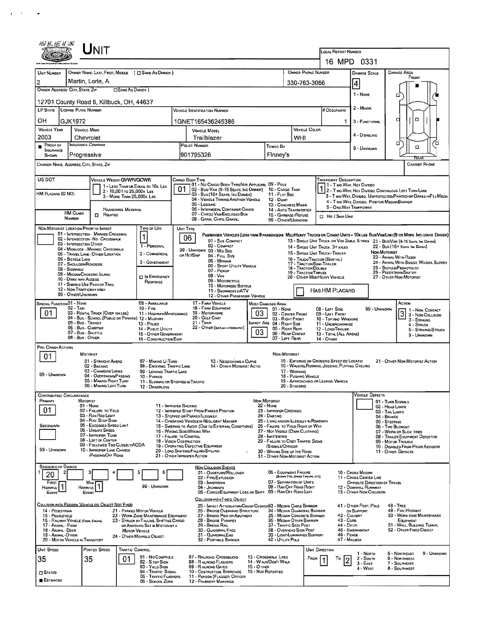|                                                                                                                                                        |                   | UNIT                                                                            |                                                                       |                                                                          |                                                                                                                                                                                              |                                                                                                             |                                    |                                                                   |                                                                               |                                                                  |                                                                                                                         |                                                                                                                              |  |  |  |  |
|--------------------------------------------------------------------------------------------------------------------------------------------------------|-------------------|---------------------------------------------------------------------------------|-----------------------------------------------------------------------|--------------------------------------------------------------------------|----------------------------------------------------------------------------------------------------------------------------------------------------------------------------------------------|-------------------------------------------------------------------------------------------------------------|------------------------------------|-------------------------------------------------------------------|-------------------------------------------------------------------------------|------------------------------------------------------------------|-------------------------------------------------------------------------------------------------------------------------|------------------------------------------------------------------------------------------------------------------------------|--|--|--|--|
|                                                                                                                                                        |                   |                                                                                 |                                                                       |                                                                          |                                                                                                                                                                                              |                                                                                                             |                                    |                                                                   |                                                                               | LOCAL REPORT NUMBER                                              | 16 MPD 0331                                                                                                             |                                                                                                                              |  |  |  |  |
| UNIT NUMBER                                                                                                                                            |                   |                                                                                 |                                                                       | OWNER NAME: LAST, FIRST, MIDDLE ( C SAME AS DRIVER )                     |                                                                                                                                                                                              |                                                                                                             |                                    |                                                                   | OWNER PHONE NUMBER                                                            |                                                                  | <b>DAMAGE SCALE</b>                                                                                                     | <b>DAMAGE AREA</b>                                                                                                           |  |  |  |  |
|                                                                                                                                                        |                   | Martin, Lorie, A                                                                |                                                                       |                                                                          |                                                                                                                                                                                              |                                                                                                             |                                    |                                                                   | 330-763-3066                                                                  |                                                                  | 4                                                                                                                       | FRONT                                                                                                                        |  |  |  |  |
| OWNER ADDRESS: CITY, STATE, ZIP                                                                                                                        |                   |                                                                                 | SAME AS DRIVER )                                                      |                                                                          |                                                                                                                                                                                              |                                                                                                             |                                    |                                                                   |                                                                               |                                                                  | 1 - NONE                                                                                                                | □                                                                                                                            |  |  |  |  |
|                                                                                                                                                        |                   |                                                                                 | 12701 County Road 6, Killbuck, OH, 44637                              |                                                                          |                                                                                                                                                                                              |                                                                                                             |                                    |                                                                   |                                                                               |                                                                  | $2 -$ MINOR                                                                                                             |                                                                                                                              |  |  |  |  |
| LP STATE                                                                                                                                               |                   | <b>LICENSE PLATE NUMBER</b>                                                     |                                                                       |                                                                          |                                                                                                                                                                                              | VEHICLE IDENTIFICATION NUMBER                                                                               |                                    |                                                                   |                                                                               | # Occupants                                                      |                                                                                                                         | о<br>о                                                                                                                       |  |  |  |  |
| OН<br><b>VEHICLE YEAR</b>                                                                                                                              | GJK1972           | <b>VEHICLE MAKE</b>                                                             |                                                                       |                                                                          | 1GNET165436245386<br>VEHICLE COLOR<br>VEHICLE MODEL                                                                                                                                          |                                                                                                             |                                    |                                                                   |                                                                               |                                                                  | 3 - FUNCTIONAL                                                                                                          |                                                                                                                              |  |  |  |  |
| 2003                                                                                                                                                   |                   | Chevrolet                                                                       |                                                                       |                                                                          |                                                                                                                                                                                              | Trailblazer                                                                                                 |                                    | WHI                                                               |                                                                               | 4 - DISABLING                                                    |                                                                                                                         |                                                                                                                              |  |  |  |  |
| PROOF OF<br><b>INSURANCE</b>                                                                                                                           |                   | <b>INSURANCE COMPANY</b>                                                        |                                                                       |                                                                          |                                                                                                                                                                                              | POLICY NUMBER                                                                                               |                                    | Toweo By                                                          |                                                                               |                                                                  | 9 - UNKNOWN                                                                                                             | ם<br>П<br>ο                                                                                                                  |  |  |  |  |
| SHOWN<br>CARRIER NAME, ADDRESS, CITY, STATE, ZIP                                                                                                       |                   | Progressive                                                                     |                                                                       |                                                                          |                                                                                                                                                                                              | 901795326                                                                                                   |                                    | Finney's                                                          |                                                                               |                                                                  |                                                                                                                         | RTAI<br><b>CARRIER PHONE</b>                                                                                                 |  |  |  |  |
|                                                                                                                                                        |                   |                                                                                 |                                                                       |                                                                          |                                                                                                                                                                                              |                                                                                                             |                                    |                                                                   |                                                                               |                                                                  |                                                                                                                         |                                                                                                                              |  |  |  |  |
| US DOT                                                                                                                                                 |                   |                                                                                 | VEHICLE WEIGHT GVWFUGCWR                                              | 1 - LESS THAN OR EQUAL TO 10K LBS                                        | 01                                                                                                                                                                                           | CARGO BODY TYPE<br>01 - No CARGO BODY TYPE/NOT APPLICABL 09 - POLE<br>02 - Bus/VAN (9-15 SEATS, INC DRIVER) |                                    | 10 - CARGO TANK                                                   |                                                                               | TRAFFICWAY DESCRIPTION                                           | 71 - Two-Way, Not Divided                                                                                               |                                                                                                                              |  |  |  |  |
| HM Placard ID NO.                                                                                                                                      |                   |                                                                                 | 2 - 10,001 to 26,000x Las<br>3 - MORE THAN 26,000K LBS.               |                                                                          |                                                                                                                                                                                              | 03 - Bus (16+ Seats, Inc Damer)<br>04 - VEHICLE TOWING ANOTHER VEHICLE                                      |                                    | 11 - FLAT BED<br>12 - Dump                                        |                                                                               |                                                                  | 2 - Two-Way, Not Divided, Continuous LEFT TURN LANE<br>3 - Two-WAY, DIVIDED, UNPROTECTED (PAINTED OR GRASS >4FT.) MEDIA |                                                                                                                              |  |  |  |  |
|                                                                                                                                                        | <b>HM CLASS</b>   |                                                                                 | <b>HAZARDOUS MATERIAL</b>                                             |                                                                          |                                                                                                                                                                                              | 05 - Locaing<br>06 - INTERMODAL CONTAINER CHASIS                                                            |                                    | 13 - CONCRETE MIXER<br>14 - AUTO TRANSPORTER                      |                                                                               |                                                                  | 4 - Two-Way, Divided, Positive Median Barrier<br>5 - ONE-WAY TRAFFICWAY                                                 |                                                                                                                              |  |  |  |  |
|                                                                                                                                                        | NUMBER            | Ω.                                                                              | RELATED                                                               |                                                                          |                                                                                                                                                                                              | 07 - CARGO VAN/ENCLOSED BOX<br>08 - GRAIN, CHPS, GRAVEL                                                     |                                    | 15 - GARBAGE /REFUSE<br>99 - OTHER/UNKNOWN                        |                                                                               | <b>CI Hin / Skie UNit</b>                                        |                                                                                                                         |                                                                                                                              |  |  |  |  |
| NON-MOTORIST LOCATION PRIOR TO IMPACT                                                                                                                  |                   |                                                                                 | 01 - INTERSECTION - MARKED CROSSWAL                                   | TYPE OF USE                                                              | UNIT TYPE                                                                                                                                                                                    |                                                                                                             |                                    |                                                                   |                                                                               |                                                                  |                                                                                                                         | PASSENGER VEHICLES (LESS THAN 9 PASSENGERS MED/HEAVY TRUCKS OR COMBO UNITS > 10KLBS BUS/VAM/LIMO(9 OR MORE INCLUDING DRIVER) |  |  |  |  |
|                                                                                                                                                        |                   | 03 - INTERSECTION OTHER                                                         | 02 - INTERSECTION - NO CROSSWALK                                      | 1<br>1 - PERSONAL                                                        |                                                                                                                                                                                              | 06<br>01 - Sus-COMPACT<br>02 - COMPACT                                                                      |                                    |                                                                   |                                                                               | 14 - SINGLE UNIT TRUCK: 3+ AXLES                                 |                                                                                                                         | 13 - SINGLE UNIT TRUCK OR VAN ZAXLE, 6 TIRES 21 - BUS/VAN (9-15 SEATS, INC DRIVER)<br>22 - BUS (16+ SEATS, INC DANER)        |  |  |  |  |
|                                                                                                                                                        | 06 - BICYCLE LANE |                                                                                 | 04 - MIDBLOCK - MARKED CROSSWALK<br>05 - TRAVEL LANE - OTHER LOCATION | 2 - COMMERCIAL                                                           |                                                                                                                                                                                              | 99 - UNKNOWN 03 - MID SIZE<br>OR HIT/SKIP<br>04 - FULL SIZE                                                 |                                    |                                                                   |                                                                               | 15 - SINGLE UNIT TRUCK / TRAILER<br>16 - TRUCK/TRACTOR (BOBTAIL) |                                                                                                                         | NON-MOTORIST<br>23 - ANIMAL WITH RIDER                                                                                       |  |  |  |  |
|                                                                                                                                                        | 08 - SIDEWALK     | 07 - Shoulder/Roadside                                                          |                                                                       | 3 - GOVERNMENT                                                           |                                                                                                                                                                                              | 05 MINIVAN<br>06 - SPORT UTILITY VEHICLE<br>07 - Pickup                                                     |                                    |                                                                   | 18 - TRACTOR/DOUBLE                                                           | 17 - TRACTOR/SEMI-TRAILER                                        |                                                                                                                         | 24 - ANIMAL WITH BUGGY, WAGON, SURREY<br>25 - BICYCLE/PEDACYCLIST                                                            |  |  |  |  |
|                                                                                                                                                        |                   | 09 - MEDIAN/CROSSING ISLAND<br>10 - DRIVE WAY ACCESS                            |                                                                       | C IN EMERGENCY<br>RESPONSE                                               |                                                                                                                                                                                              | 08 - VAN<br>09 - MOTORCYCLE                                                                                 |                                    |                                                                   | 19 - TRACTOR/TRIPLES<br>20 - OTHER MEDIMEAVY VEHICLE                          | 25 - PEDESTRIAN SKATER<br>27 - OTHER NON-MOTORIST                |                                                                                                                         |                                                                                                                              |  |  |  |  |
|                                                                                                                                                        |                   | 11 - SHARED-USE PATH OR TRAIL<br>12 - NON-TRAFFICWAY AREA<br>99 - OTHER/UNKNOWN |                                                                       |                                                                          |                                                                                                                                                                                              | 10 - MOTORIZED BICYCLE<br>11 - SNOWMOBLE/ATV                                                                |                                    |                                                                   | <b>HASHM PLACARD</b>                                                          |                                                                  |                                                                                                                         |                                                                                                                              |  |  |  |  |
| SPECIAL FUNCTION 01 - NONE                                                                                                                             |                   |                                                                                 |                                                                       | 09 - AMBULANCE                                                           |                                                                                                                                                                                              | 12 - OTHER PASSENGER VEHICLE<br>17 - FARM VEHICLE                                                           |                                    | Most Damaged Area                                                 |                                                                               |                                                                  |                                                                                                                         | ACTION                                                                                                                       |  |  |  |  |
| $02 - TAX1$<br>$10 -$ Fine<br>01<br>03 - RENTAL TRUCK (OVER 10KLBS)<br>11 - HIGHWAY/MAINTENANCE<br>04 - BUS - SCHOOL (PUBLIC OR PRIVATE) 12 - MILITARY |                   |                                                                                 |                                                                       |                                                                          |                                                                                                                                                                                              | 18 - FARM EQUIPMENT<br>19 - Мотояноме<br>20 - GOLF CART                                                     | 03                                 | $01 - None$<br>02 - CENTER FRONT                                  | 08 - LEFT SIDE<br>09 - LEFT FRONT                                             | 99 - UNKNOWN                                                     | 1 - NON-CONTACT<br>$3\frac{1 - N_{ON}$ - CONTACT                                                                        |                                                                                                                              |  |  |  |  |
|                                                                                                                                                        |                   | 05 - Bus - Transit<br>06 - Bus - CHARTER                                        |                                                                       | 13 - POLICE<br>14 - Puauc Unury                                          |                                                                                                                                                                                              | $21 -$ Train<br>22 - OTHER (EXPLAN IN NARRANYE)                                                             |                                    | 03 - RIGHT FRONT<br>IMPACT ARE 04 - RIGHT SIDE<br>05 - Right Rear | 10 - Top and Windows<br>11 - UNOERCARRIAGE<br>12 - LOADITRAILER               |                                                                  | 3 - STRIKING<br>4 - Struck<br>5 - STRIKRIG/STRUCK                                                                       |                                                                                                                              |  |  |  |  |
| 07 - Bus - SHUTTLE<br>15 - OTHER GOVERNMENT<br>08 - Bus - OTHER<br>16 - CONSTRUCTION EOIP.                                                             |                   |                                                                                 |                                                                       |                                                                          |                                                                                                                                                                                              |                                                                                                             | 03                                 | 06 - REAR CENTER<br>07 - LEFT REAR                                | 13 - Total (All Areas)<br>14 - OTHER                                          | 9 - UNKNOWN                                                      |                                                                                                                         |                                                                                                                              |  |  |  |  |
| PRE- CRASH ACTIONS                                                                                                                                     |                   |                                                                                 |                                                                       |                                                                          |                                                                                                                                                                                              |                                                                                                             |                                    | NON-MOTORIST                                                      |                                                                               |                                                                  |                                                                                                                         |                                                                                                                              |  |  |  |  |
| 01                                                                                                                                                     |                   | <b>MOTORIST</b><br>02 - BACKING                                                 | 01 - STRAIGHT AHEAD                                                   | 07 - MAKING U-TURN                                                       |                                                                                                                                                                                              | 13 - NEGOTIATING A CURVE                                                                                    |                                    |                                                                   | 15 - ENTERING OR CROSSING SPECIFIED LOCATIO<br>21 - OTHER NON-MOTORIST ACTION |                                                                  |                                                                                                                         |                                                                                                                              |  |  |  |  |
| 99 - UNKNOWN                                                                                                                                           |                   |                                                                                 | 03 - CHANGING LANES<br>04 - Overtaking/Passing                        | 08 - ENTERING TRAFFIC LANE<br>09 - LEAVING TRAFFIC LANE<br>10 - PARKED   | 14 - OTHER MOTORIST ACTIO<br>16 - WALKING, RUNNING, JOGGING, PLAYING, CYCLING<br>17 - WORKING<br>18 - PUSHING VEHICLE                                                                        |                                                                                                             |                                    |                                                                   |                                                                               |                                                                  |                                                                                                                         |                                                                                                                              |  |  |  |  |
|                                                                                                                                                        |                   |                                                                                 | 05 - MAKING RIGHT TURN<br>06 - MAKING LEFT TURN                       | 11 - SLOWING OR STOPPED IN TRAFFIC<br>12 - DRIVERLESS                    |                                                                                                                                                                                              |                                                                                                             |                                    | 20 - STANDING                                                     | 19 - APPROACHING OR LEAVING VEHICLE                                           |                                                                  |                                                                                                                         |                                                                                                                              |  |  |  |  |
| <b>CONTRIBUTING CIRCUMSTANCE</b><br>PRIMARY                                                                                                            |                   | MOTORIST                                                                        |                                                                       |                                                                          |                                                                                                                                                                                              |                                                                                                             |                                    | <b>NON-MOTORIST</b>                                               |                                                                               |                                                                  | <b>VEHICLE DEFECTS</b>                                                                                                  |                                                                                                                              |  |  |  |  |
| 01                                                                                                                                                     |                   | $01 - None$                                                                     | 02 - FAILURE TO YIELD                                                 | 11 - IMPROPER BACKING                                                    |                                                                                                                                                                                              | 12 - IMPROPER START FROM PARKED POSITION                                                                    |                                    | $22 - None$<br>23 - IMPROPER CROSSING                             |                                                                               | 01 - TURN SIGNALS<br>02 - HEAD LAMPS<br>03 - TAIL LAMPS          |                                                                                                                         |                                                                                                                              |  |  |  |  |
|                                                                                                                                                        |                   | 03 - RAN REO LIGHT<br>04 - RAN STOP SIGN                                        |                                                                       |                                                                          | 13 - Stopped or Parked LLEGALLY<br>24 - DARTING<br>14 - OPERATING VEHICLE IN NEGLIGENT MANNER<br>25 - LYING ANOXOR ILLEGALLY IN ROADWAY                                                      |                                                                                                             |                                    |                                                                   |                                                                               |                                                                  | 04 - BRAKES<br>05 - STEERING                                                                                            |                                                                                                                              |  |  |  |  |
| SECONDARY                                                                                                                                              |                   | 06 - Unsafe Speed                                                               | 05 - Excesoed Speed Limit                                             |                                                                          | 15 - Swering to Avoid (Due to External Conditions)<br>26 - FALURE TO YIELD RIGHT OF WAY<br>16 - WRONG SIDE/WRONG WAY<br>27 - NOT VISIBLE (DARK CLOTHING)                                     |                                                                                                             |                                    |                                                                   |                                                                               |                                                                  |                                                                                                                         | 06 - TIRE BLOWOUT<br>07 - WORN OR SLICK TIRES                                                                                |  |  |  |  |
|                                                                                                                                                        |                   | 07 - IMPROPER TURN<br>08 - LEFT OF CENTER                                       | 09 - FOLLOWED TOO CLOSELY/ACDA                                        |                                                                          | 28 - INATTENTIVE<br>17 - FALURE TO CONTROL<br>18 - VISION OBSTRUCTION<br>29 - FAILURE TO OBEY TRAFFIC SIGNS                                                                                  |                                                                                                             |                                    |                                                                   |                                                                               |                                                                  |                                                                                                                         | 08 - TRALER EQUIPMENT DEFECTIVE<br>09 - MOTOR TROUBLE<br>10 - DISABLED FROM PRIOR ACCIDENT                                   |  |  |  |  |
| 99 - UNKNOWN                                                                                                                                           |                   |                                                                                 | 10 - IMPROPER LANE CHANGE<br><b>PASSING OFF ROAD</b>                  |                                                                          | 19 - OPERATING DEFECTIVE EQUIPMENT<br>/SIGNALS/OFFICER<br>20 - LOAO SHIFTING/FALLING/SPILLING<br>30 - WRONG SIDE OF THE ROAD<br>21 - OTHER IMPROPER ACTION<br>31 - OTHER NON-MOTORIST ACTION |                                                                                                             |                                    |                                                                   |                                                                               |                                                                  |                                                                                                                         | 11 - OTHER DEFECTS                                                                                                           |  |  |  |  |
| <b>SEQUENCE OF EVENTS</b>                                                                                                                              |                   |                                                                                 |                                                                       |                                                                          |                                                                                                                                                                                              | <b>NON-COLUSION EVENTS</b>                                                                                  |                                    | 06 - EQUIPMENT FAILURE                                            |                                                                               |                                                                  |                                                                                                                         |                                                                                                                              |  |  |  |  |
| 20<br>FIRST                                                                                                                                            | 2                 | Most                                                                            |                                                                       | 6                                                                        |                                                                                                                                                                                              | 01 - Overturw/Rollover<br>02 - FIRE/EXPLOSION<br>03 - IMMERSION                                             |                                    |                                                                   | (BLOWN THE, BRAKE FAILURE, ETC)<br>07 - SEPARATION OF UNITS                   |                                                                  | 10 - Cross Meoran<br>11 - Cross CENTER LINE<br>OPPOSITE DIRECTION OF TRAVEL                                             |                                                                                                                              |  |  |  |  |
| HARMFUL<br>EVENT                                                                                                                                       |                   | <b>HARMFUL</b><br>EVENT                                                         |                                                                       | 99 - UNKNOWN                                                             |                                                                                                                                                                                              | 04 - JACKKNIFE<br>05 - CARGO/EQUIPMENT LOSS OR SHIFT 09 - RAN OFF ROAD LEFT                                 |                                    |                                                                   | 08 - RAN OFF ROAD RIGHT                                                       |                                                                  | 12 - DOWNHILL RUNAWAY<br>13 - OTHER NON-COLLISION                                                                       |                                                                                                                              |  |  |  |  |
|                                                                                                                                                        |                   |                                                                                 | COLLISION, WITH PERSON, VEHICLE OR OBJECT NOT FIXED                   |                                                                          |                                                                                                                                                                                              | COLLISION WITH FIXED, OBJECT<br>25 - IMPACT ATTENUATOR/CRASH CUSHIONS3 - MEDIAN CABLE BARRIER               |                                    |                                                                   |                                                                               |                                                                  | 41 - OTHER POST, POLE                                                                                                   | $48 - \text{Tree}$                                                                                                           |  |  |  |  |
| 14 - PEDESTRIAN<br>15 - PEDALCYCLE                                                                                                                     |                   |                                                                                 |                                                                       | 21 - PARKED MOTOR VEHICLE<br>22 - WORK ZONE MAINTENANCE EQUIPMENT        |                                                                                                                                                                                              | 26 - BRIDGE OVERHEAD STRUCTURE<br>27 - BRIDGE PIER OR ABUTMENT                                              |                                    |                                                                   | 34 - Median Guardral Barrier<br>35 - MEDAN CONCRETE BARRIER                   |                                                                  | OR SUPPORT<br>42 - CULVERT                                                                                              | 49 - FIRE HYDRANT<br>50 - WORK ZONE MAINTENANCE                                                                              |  |  |  |  |
| 17 - Animal - Farim                                                                                                                                    |                   | 16 - RAILWAY VEHICLE (TRAN, ENGINE)                                             |                                                                       | 23 - STRUCK BY FALLING, SHIFTING CARGO<br>OR ANYTHING SET IN MOTION BY A |                                                                                                                                                                                              | 28 - BRIDGE PARAPET<br>29 - BRIDGE RAIL                                                                     |                                    | 37 - TRAFFIC SIGN POST                                            | 36 - MEDIAN OTHER BARRIER                                                     |                                                                  | 43 - Curs<br>44 - Олсн                                                                                                  | EQUIPMENT<br>51 - WALL, BULDING, TUNNEL                                                                                      |  |  |  |  |
| 18 - Animal - Deer<br>19 - ANIMAL - OTHER                                                                                                              |                   | 20 - MOTOR VEHICLE IN TRANSPORT                                                 |                                                                       | <b>MOTOR VEHICLE</b><br>24 - OTHER MOVABLE OBJECT                        |                                                                                                                                                                                              | 30 - GUARDRAIL FACE<br>31 - GUARDRAILENO<br>32 - PORTABLE BARRIER                                           |                                    | 40 - UTILITY POLE                                                 | 38 - OVERHEAD SIGN POST<br>39 - LIGHT/LUMINARIES SUPPORT                      |                                                                  | 45 - EMBANKMENT<br>46 - FENCE<br>47 - MAILBOX                                                                           | 52 - OTHER FIXED OBJECT                                                                                                      |  |  |  |  |
| UNIT SPEED                                                                                                                                             |                   | POSTED SPEED                                                                    | TRAFFIC CONTROL                                                       |                                                                          |                                                                                                                                                                                              |                                                                                                             |                                    |                                                                   |                                                                               | UNIT DIRECTION                                                   |                                                                                                                         |                                                                                                                              |  |  |  |  |
| 35                                                                                                                                                     |                   | 35                                                                              | 01                                                                    | 01 - No Controls<br>02 - S TOP SIGN                                      |                                                                                                                                                                                              | 07 - RAILROAD CROSSBUCKS<br>08 - R AILROAD FLASHERS                                                         |                                    | 13 - Crosswalk Lines<br>14 - WALK/DON'T WALK                      | FROM                                                                          | То                                                               | 1 - North<br>2 - South<br>$3 - EAST$                                                                                    | 5 - NORTHEAST<br>9 - UNKNOWN<br>6 - NORTHWEST<br>7 - SOUTHEAST                                                               |  |  |  |  |
| <b>C</b> STATED                                                                                                                                        |                   |                                                                                 |                                                                       | 03 - YIELD SIGN<br>04 - TRAFFIC SIGNAL<br>05 - TRAFFIC FLASHERS          |                                                                                                                                                                                              | 09 - RALROAD GATES<br>10 - COSTRUCTION BARRICADE                                                            | $15 - O$ THER<br>16 - Not Reported |                                                                   |                                                                               |                                                                  | 4 - WEST                                                                                                                | 8 - SOUTHWEST                                                                                                                |  |  |  |  |
| <b>E</b> ESTIMATED                                                                                                                                     |                   |                                                                                 |                                                                       | 06 - SCHOOL ZONE                                                         |                                                                                                                                                                                              | 11 - PERSON (FLAGGER, OFFICER<br>12 - PAVEMENT MARKINGS                                                     |                                    |                                                                   |                                                                               |                                                                  |                                                                                                                         |                                                                                                                              |  |  |  |  |
|                                                                                                                                                        |                   |                                                                                 |                                                                       |                                                                          |                                                                                                                                                                                              |                                                                                                             |                                    |                                                                   |                                                                               |                                                                  |                                                                                                                         |                                                                                                                              |  |  |  |  |

 $\mathcal{L}(\mathcal{A})$  , where  $\mathcal{L}(\mathcal{A})$